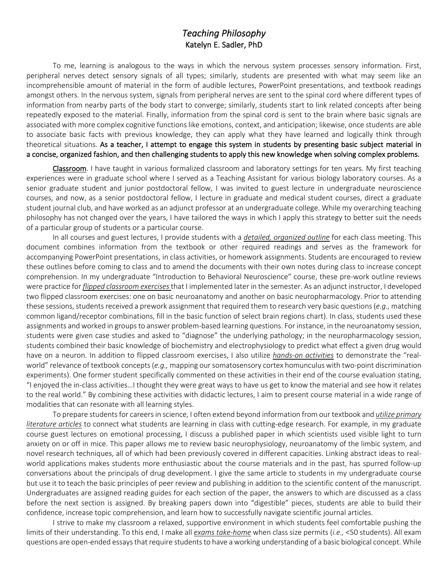## *Teaching Philosophy*  Katelyn E. Sadler, PhD

To me, learning is analogous to the ways in which the nervous system processes sensory information. First, peripheral nerves detect sensory signals of all types; similarly, students are presented with what may seem like an incomprehensible amount of material in the form of audible lectures, PowerPoint presentations, and textbook readings amongst others. In the nervous system, signals from peripheral nerves are sent to the spinal cord where different types of information from nearby parts of the body start to converge; similarly, students start to link related concepts after being repeatedly exposed to the material. Finally, information from the spinal cord is sent to the brain where basic signals are associated with more complex cognitive functions like emotions, context, and anticipation; likewise, once students are able to associate basic facts with previous knowledge, they can apply what they have learned and logically think through theoretical situations. As a teacher, I attempt to engage this system in students by presenting basic subject material in a concise, organized fashion, and then challenging students to apply this new knowledge when solving complex problems.

Classroom. I have taught in various formalized classroom and laboratory settings for ten years. My first teaching experiences were in graduate school where I served as a Teaching Assistant for various biology laboratory courses. As a senior graduate student and junior postdoctoral fellow, I was invited to guest lecture in undergraduate neuroscience courses, and now, as a senior postdoctoral fellow, I lecture in graduate and medical student courses, direct a graduate student journal club, and have worked as an adjunct professor at an undergraduate college. While my overarching teaching philosophy has not changed over the years, I have tailored the ways in which I apply this strategy to better suit the needs of a particular group of students or a particular course.

In all courses and guest lectures, I provide students with a *detailed, organized outline* for each class meeting. This document combines information from the textbook or other required readings and serves as the framework for accompanying PowerPoint presentations, in class activities, or homework assignments. Students are encouraged to review these outlines before coming to class and to amend the documents with their own notes during class to increase concept comprehension. In my undergraduate "Introduction to Behavioral Neuroscience" course, these pre-work outline reviews were practice for *flipped classroom exercises*that I implemented later in the semester. As an adjunct instructor, I developed two flipped classroom exercises: one on basic neuroanatomy and another on basic neuropharmacology. Prior to attending these sessions, students received a prework assignment that required them to research very basic questions (e.g., matching common ligand/receptor combinations, fill in the basic function of select brain regions chart). In class, students used these assignments and worked in groups to answer problem-based learning questions. For instance, in the neuroanatomy session, students were given case studies and asked to "diagnose" the underlying pathology; in the neuropharmacology session, students combined their basic knowledge of biochemistry and electrophysiology to predict what effect a given drug would have on a neuron. In addition to flipped classroom exercises, I also utilize *hands-on activities* to demonstrate the "realworld" relevance of textbook concepts(*e.g.,* mapping oursomatosensory cortex homunculus with two-point discrimination experiments). One former student specifically commented on these activities in their end of the course evaluation stating, "I enjoyed the in-class activities…I thought they were great ways to have us get to know the material and see how it relates to the real world." By combining these activities with didactic lectures, I aim to present course material in a wide range of modalities that can resonate with all learning styles.

To prepare students for careers in science, I often extend beyond information from our textbook and *utilize primary literature articles* to connect what students are learning in class with cutting-edge research. For example, in my graduate course guest lectures on emotional processing, I discuss a published paper in which scientists used visible light to turn anxiety on or off in mice. This paper allows me to review basic neurophysiology, neuroanatomy of the limbic system, and novel research techniques, all of which had been previously covered in different capacities. Linking abstract ideas to realworld applications makes students more enthusiastic about the course materials and in the past, has spurred follow-up conversations about the principals of drug development. I give the same article to students in my undergraduate course but use it to teach the basic principles of peer review and publishing in addition to the scientific content of the manuscript. Undergraduates are assigned reading guides for each section of the paper, the answers to which are discussed as a class before the next section is assigned. By breaking papers down into "digestible" pieces, students are able to build their confidence, increase topic comprehension, and learn how to successfully navigate scientific journal articles.

I strive to make my classroom a relaxed, supportive environment in which students feel comfortable pushing the limits of their understanding. To this end, I make all *exams take-home* when class size permits (*i.e.,* <50 students). All exam questions are open-ended essays that require students to have a working understanding of a basic biological concept. While